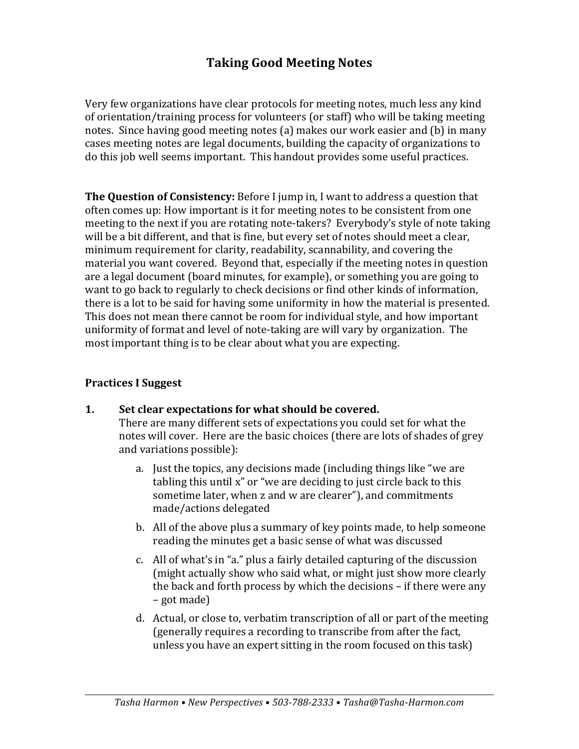# **Taking Good Meeting Notes**

Very few organizations have clear protocols for meeting notes, much less any kind of orientation/training process for volunteers (or staff) who will be taking meeting notes. Since having good meeting notes (a) makes our work easier and (b) in many cases meeting notes are legal documents, building the capacity of organizations to do this job well seems important. This handout provides some useful practices.

**The Question of Consistency:** Before I jump in, I want to address a question that often comes up: How important is it for meeting notes to be consistent from one meeting to the next if you are rotating note-takers? Everybody's style of note taking will be a bit different, and that is fine, but every set of notes should meet a clear, minimum requirement for clarity, readability, scannability, and covering the material you want covered. Beyond that, especially if the meeting notes in question are a legal document (board minutes, for example), or something you are going to want to go back to regularly to check decisions or find other kinds of information, there is a lot to be said for having some uniformity in how the material is presented. This does not mean there cannot be room for individual style, and how important uniformity of format and level of note-taking are will vary by organization. The most important thing is to be clear about what you are expecting.

### **Practices I Suggest**

**1.** Set clear expectations for what should be covered.

There are many different sets of expectations you could set for what the notes will cover. Here are the basic choices (there are lots of shades of grey and variations possible):

- a. Just the topics, any decisions made (including things like "we are tabling this until  $x$ " or "we are deciding to just circle back to this sometime later, when z and w are clearer"), and commitments made/actions delegated
- b. All of the above plus a summary of key points made, to help someone reading the minutes get a basic sense of what was discussed
- c. All of what's in "a." plus a fairly detailed capturing of the discussion (might actually show who said what, or might just show more clearly the back and forth process by which the decisions  $-$  if there were any  $-$  got made)
- d. Actual, or close to, verbatim transcription of all or part of the meeting (generally requires a recording to transcribe from after the fact, unless you have an expert sitting in the room focused on this task)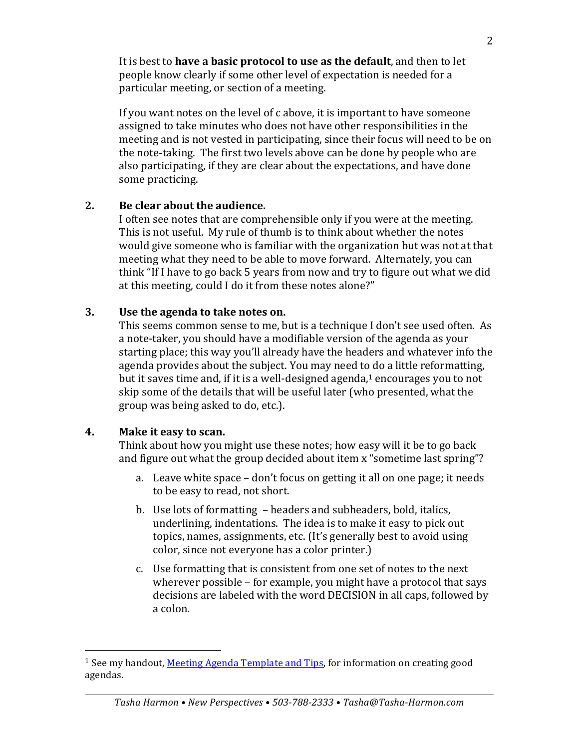It is best to **have a basic protocol to use as the default**, and then to let people know clearly if some other level of expectation is needed for a particular meeting, or section of a meeting.

If you want notes on the level of c above, it is important to have someone assigned to take minutes who does not have other responsibilities in the meeting and is not vested in participating, since their focus will need to be on the note-taking. The first two levels above can be done by people who are also participating, if they are clear about the expectations, and have done some practicing.

#### **2. Be clear about the audience.**

I often see notes that are comprehensible only if you were at the meeting. This is not useful. My rule of thumb is to think about whether the notes would give someone who is familiar with the organization but was not at that meeting what they need to be able to move forward. Alternately, you can think "If I have to go back 5 years from now and try to figure out what we did at this meeting, could I do it from these notes alone?"

#### **3.** Use the agenda to take notes on.

This seems common sense to me, but is a technique I don't see used often. As a note-taker, you should have a modifiable version of the agenda as your starting place; this way you'll already have the headers and whatever info the agenda provides about the subject. You may need to do a little reformatting, but it saves time and, if it is a well-designed agenda, $1$  encourages you to not skip some of the details that will be useful later (who presented, what the group was being asked to do, etc.).

#### **4. Make it easy to scan.**

 

Think about how you might use these notes; how easy will it be to go back and figure out what the group decided about item  $x$  "sometime last spring"?

- a. Leave white space don't focus on getting it all on one page; it needs to be easy to read, not short.
- b. Use lots of formatting headers and subheaders, bold, italics, underlining, indentations. The idea is to make it easy to pick out topics, names, assignments, etc. (It's generally best to avoid using color, since not everyone has a color printer.)
- c. Use formatting that is consistent from one set of notes to the next wherever possible  $-$  for example, you might have a protocol that says decisions are labeled with the word DECISION in all caps, followed by a colon.

<sup>&</sup>lt;sup>1</sup> See my handout, Meeting Agenda Template and Tips, for information on creating good agendas.